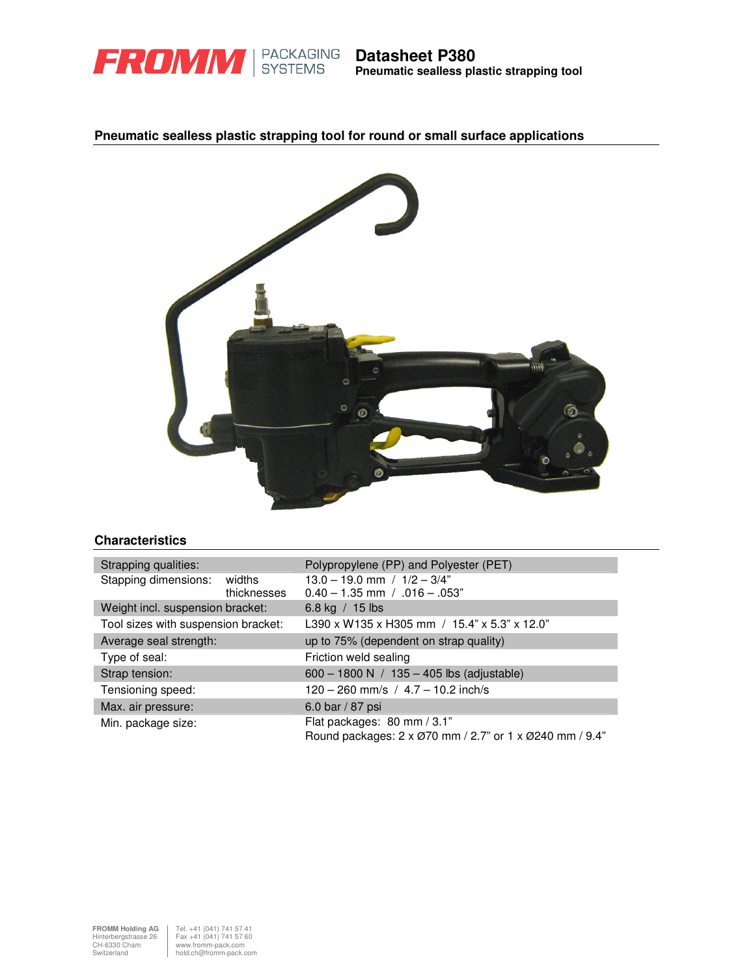

## **Pneumatic sealless plastic strapping tool for round or small surface applications**



## **Characteristics**

| Strapping qualities:                |             | Polypropylene (PP) and Polyester (PET)                  |  |  |  |  |  |
|-------------------------------------|-------------|---------------------------------------------------------|--|--|--|--|--|
| Stapping dimensions:                | widths      | $13.0 - 19.0$ mm $/ 1/2 - 3/4$ "                        |  |  |  |  |  |
|                                     | thicknesses | $0.40 - 1.35$ mm $/ .016 - .053$ "                      |  |  |  |  |  |
| Weight incl. suspension bracket:    |             | 6.8 kg / 15 lbs                                         |  |  |  |  |  |
| Tool sizes with suspension bracket: |             | L390 x W135 x H305 mm / 15.4" x 5.3" x 12.0"            |  |  |  |  |  |
| Average seal strength:              |             | up to 75% (dependent on strap quality)                  |  |  |  |  |  |
| Type of seal:                       |             | Friction weld sealing                                   |  |  |  |  |  |
| Strap tension:                      |             | 600 - 1800 N / 135 - 405 lbs (adjustable)               |  |  |  |  |  |
| Tensioning speed:                   |             | $120 - 260$ mm/s / $4.7 - 10.2$ inch/s                  |  |  |  |  |  |
| Max. air pressure:                  |             | 6.0 bar / 87 psi                                        |  |  |  |  |  |
| Min. package size:                  |             | Flat packages: 80 mm / 3.1"                             |  |  |  |  |  |
|                                     |             | Round packages: 2 x Ø70 mm / 2.7" or 1 x Ø240 mm / 9.4" |  |  |  |  |  |